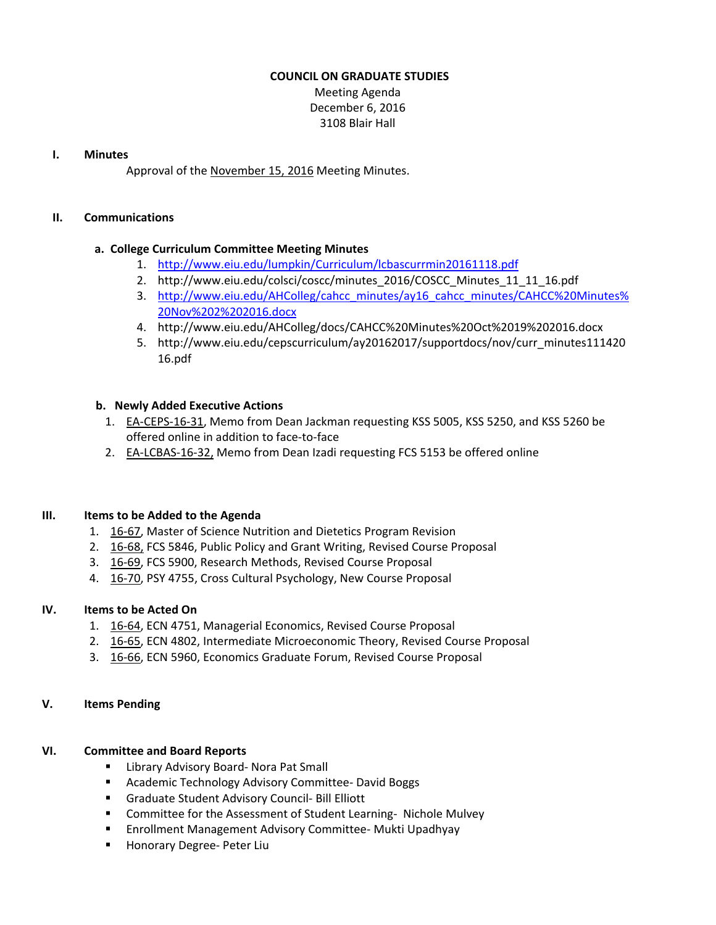### **COUNCIL ON GRADUATE STUDIES**

Meeting Agenda December 6, 2016 3108 Blair Hall

#### **I. Minutes**

Approval of the [November](http://castle.eiu.edu/eiucgs/currentminutes/Minutes11-15-16.pdf) 15, 2016 Meeting Minutes.

#### **II. Communications**

### **a. College Curriculum Committee Meeting Minutes**

- 1. <http://www.eiu.edu/lumpkin/Curriculum/lcbascurrmin20161118.pdf>
- 2. [http://www.eiu.edu/colsci/coscc/minutes\\_2016/COSCC\\_Minutes\\_11\\_11\\_16.pdf](http://www.eiu.edu/colsci/coscc/minutes_2016/COSCC_Minutes_11_11_16.pdf)
- 3. [http://www.eiu.edu/AHColleg/cahcc\\_minutes/ay16\\_cahcc\\_minutes/CAHCC%20Minutes%](http://www.eiu.edu/AHColleg/cahcc_minutes/ay16_cahcc_minutes/CAHCC%20Minutes%20Nov%202%202016.docx) 20Nov%202%202016.docx
- 4. <http://www.eiu.edu/AHColleg/docs/CAHCC%20Minutes%20Oct%2019%202016.docx>
- 5. [http://www.eiu.edu/cepscurriculum/ay20162017/supportdocs/nov/curr\\_minutes111420](http://www.eiu.edu/cepscurriculum/ay20162017/supportdocs/nov/curr_minutes11142016.pdf) 16.pdf

### **b. Newly Added Executive Actions**

- 1. EA‐[CEPS](http://castle.eiu.edu/eiucgs/exec-actions/EA-CEPS-16-31.pdf)‐16‐31, Memo from Dean Jackman requesting KSS 5005, KSS 5250, and KSS 5260 be offered online in addition to face‐to‐face
- 2. EA‐[LCBAS](http://castle.eiu.edu/eiucgs/exec-actions/EA-LCBAS-16-32.pdf)‐16‐32, Memo from Dean Izadi requesting FCS 5153 be offered online

### **III. Items to be Added to the Agenda**

- 1. [16](http://castle.eiu.edu/eiucgs/currentagendaitems/agenda16-67.pdf)‐67, Master of Science Nutrition and Dietetics Program Revision
- 2. [16](http://castle.eiu.edu/eiucgs/currentagendaitems/agenda16-68.pdf)‐68, FCS 5846, Public Policy and Grant Writing, Revised Course Proposal
- 3. 16‐[69,](http://castle.eiu.edu/eiucgs/currentagendaitems/agenda16-69.pdf) FCS 5900, Research Methods, Revised Course Proposal
- 4. [16](http://castle.eiu.edu/eiucgs/currentagendaitems/agenda16-70.pdf)-70, PSY 4755, Cross Cultural Psychology, New Course Proposal

### **IV. Items to be Acted On**

- 1. [16](http://castle.eiu.edu/eiucgs/currentagendaitems/agenda16-64.pdf)‐64, ECN 4751, Managerial Economics, Revised Course Proposal
- 2. 16‐[65,](http://castle.eiu.edu/eiucgs/currentagendaitems/agenda16-65.pdf) ECN 4802, Intermediate Microeconomic Theory, Revised Course Proposal
- 3. 16‐[66,](http://castle.eiu.edu/eiucgs/currentagendaitems/agenda16-66.pdf) ECN 5960, Economics Graduate Forum, Revised Course Proposal

### **V. Items Pending**

## **VI. Committee and Board Reports**

- Library Advisory Board- Nora Pat Small
- Academic Technology Advisory Committee- David Boggs
- Graduate Student Advisory Council- Bill Elliott
- Committee for the Assessment of Student Learning- Nichole Mulvey
- Enrollment Management Advisory Committee- Mukti Upadhyay
- Honorary Degree- Peter Liu